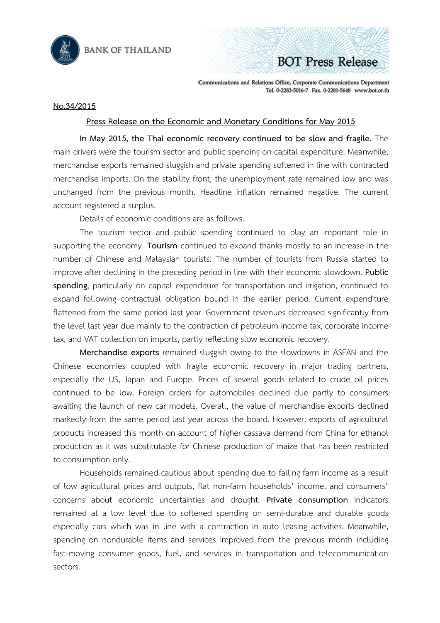

**BOT Press Release** 

Communications and Relations Office, Corporate Communications Department Tel. 0-2283-5016-7 Fax. 0-2281-5648 www.bot.or.th

## **No.34/2015**

## **Press Release on the Economic and Monetary Conditions for May 2015**

**In May 2015, the Thai economic recovery continued to be slow and fragile.** The main drivers were the tourism sector and public spending on capital expenditure. Meanwhile, merchandise exports remained sluggish and private spending softened in line with contracted merchandise imports. On the stability front, the unemployment rate remained low and was unchanged from the previous month. Headline inflation remained negative. The current account registered a surplus.

Details of economic conditions are as follows.

The tourism sector and public spending continued to play an important role in supporting the economy. **Tourism** continued to expand thanks mostly to an increase in the number of Chinese and Malaysian tourists. The number of tourists from Russia started to improve after declining in the preceding period in line with their economic slowdown. **Public spending**, particularly on capital expenditure for transportation and irrigation, continued to expand following contractual obligation bound in the earlier period. Current expenditure flattened from the same period last year. Government revenues decreased significantly from the level last year due mainly to the contraction of petroleum income tax, corporate income tax, and VAT collection on imports, partly reflecting slow economic recovery.

**Merchandise exports** remained sluggish owing to the slowdowns in ASEAN and the Chinese economies coupled with fragile economic recovery in major trading partners, especially the US, Japan and Europe. Prices of several goods related to crude oil prices continued to be low. Foreign orders for automobiles declined due partly to consumers awaiting the launch of new car models. Overall, the value of merchandise exports declined markedly from the same period last year across the board. However, exports of agricultural products increased this month on account of higher cassava demand from China for ethanol production as it was substitutable for Chinese production of maize that has been restricted to consumption only.

Households remained cautious about spending due to falling farm income as a result of low agricultural prices and outputs, flat non-farm households' income, and consumers' concerns about economic uncertainties and drought. **Private consumption** indicators remained at a low level due to softened spending on semi-durable and durable goods especially cars which was in line with a contraction in auto leasing activities. Meanwhile, spending on nondurable items and services improved from the previous month including fast-moving consumer goods, fuel, and services in transportation and telecommunication sectors.